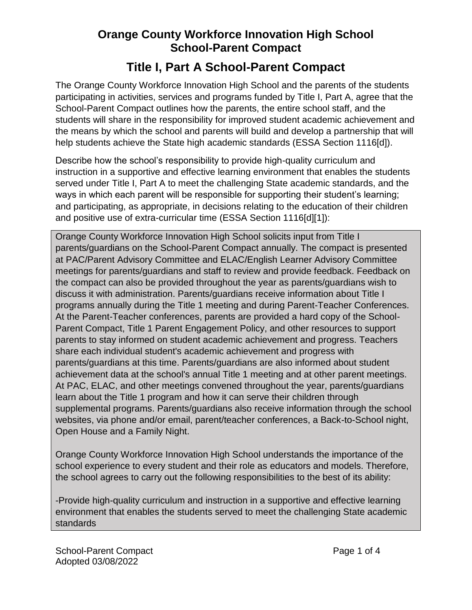## **Orange County Workforce Innovation High School School-Parent Compact**

## **Title I, Part A School-Parent Compact**

The Orange County Workforce Innovation High School and the parents of the students participating in activities, services and programs funded by Title I, Part A, agree that the School-Parent Compact outlines how the parents, the entire school staff, and the students will share in the responsibility for improved student academic achievement and the means by which the school and parents will build and develop a partnership that will help students achieve the State high academic standards (ESSA Section 1116[d]).

Describe how the school's responsibility to provide high-quality curriculum and instruction in a supportive and effective learning environment that enables the students served under Title I, Part A to meet the challenging State academic standards, and the ways in which each parent will be responsible for supporting their student's learning; and participating, as appropriate, in decisions relating to the education of their children and positive use of extra-curricular time (ESSA Section 1116[d][1]):

Orange County Workforce Innovation High School solicits input from Title I parents/guardians on the School-Parent Compact annually. The compact is presented at PAC/Parent Advisory Committee and ELAC/English Learner Advisory Committee meetings for parents/guardians and staff to review and provide feedback. Feedback on the compact can also be provided throughout the year as parents/guardians wish to discuss it with administration. Parents/guardians receive information about Title I programs annually during the Title 1 meeting and during Parent-Teacher Conferences. At the Parent-Teacher conferences, parents are provided a hard copy of the School-Parent Compact, Title 1 Parent Engagement Policy, and other resources to support parents to stay informed on student academic achievement and progress. Teachers share each individual student's academic achievement and progress with parents/guardians at this time. Parents/guardians are also informed about student achievement data at the school's annual Title 1 meeting and at other parent meetings. At PAC, ELAC, and other meetings convened throughout the year, parents/guardians learn about the Title 1 program and how it can serve their children through supplemental programs. Parents/guardians also receive information through the school websites, via phone and/or email, parent/teacher conferences, a Back-to-School night, Open House and a Family Night.

Orange County Workforce Innovation High School understands the importance of the school experience to every student and their role as educators and models. Therefore, the school agrees to carry out the following responsibilities to the best of its ability:

-Provide high-quality curriculum and instruction in a supportive and effective learning environment that enables the students served to meet the challenging State academic standards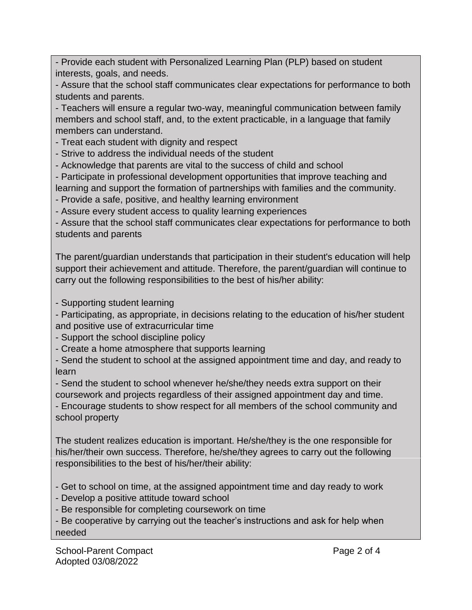- Provide each student with Personalized Learning Plan (PLP) based on student interests, goals, and needs.

- Assure that the school staff communicates clear expectations for performance to both students and parents.

- Teachers will ensure a regular two-way, meaningful communication between family members and school staff, and, to the extent practicable, in a language that family members can understand.

- Treat each student with dignity and respect

- Strive to address the individual needs of the student

- Acknowledge that parents are vital to the success of child and school

- Participate in professional development opportunities that improve teaching and learning and support the formation of partnerships with families and the community.

- Provide a safe, positive, and healthy learning environment

- Assure every student access to quality learning experiences

- Assure that the school staff communicates clear expectations for performance to both students and parents

The parent/guardian understands that participation in their student's education will help support their achievement and attitude. Therefore, the parent/guardian will continue to carry out the following responsibilities to the best of his/her ability:

- Supporting student learning

- Participating, as appropriate, in decisions relating to the education of his/her student and positive use of extracurricular time

- Support the school discipline policy

- Create a home atmosphere that supports learning

- Send the student to school at the assigned appointment time and day, and ready to learn

- Send the student to school whenever he/she/they needs extra support on their coursework and projects regardless of their assigned appointment day and time.

- Encourage students to show respect for all members of the school community and school property

The student realizes education is important. He/she/they is the one responsible for his/her/their own success. Therefore, he/she/they agrees to carry out the following responsibilities to the best of his/her/their ability:

- Get to school on time, at the assigned appointment time and day ready to work

- Develop a positive attitude toward school

- Be responsible for completing coursework on time

- Be cooperative by carrying out the teacher's instructions and ask for help when needed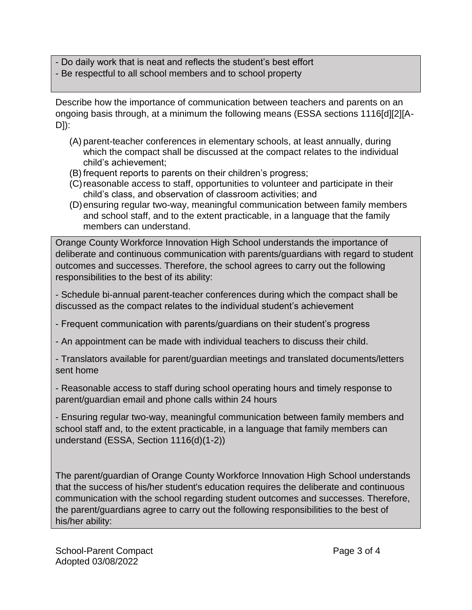- Do daily work that is neat and reflects the student's best effort

- Be respectful to all school members and to school property

Describe how the importance of communication between teachers and parents on an ongoing basis through, at a minimum the following means (ESSA sections 1116[d][2][A-D]):

- (A) parent-teacher conferences in elementary schools, at least annually, during which the compact shall be discussed at the compact relates to the individual child's achievement;
- (B) frequent reports to parents on their children's progress;
- (C)reasonable access to staff, opportunities to volunteer and participate in their child's class, and observation of classroom activities; and
- (D)ensuring regular two-way, meaningful communication between family members and school staff, and to the extent practicable, in a language that the family members can understand.

Orange County Workforce Innovation High School understands the importance of deliberate and continuous communication with parents/guardians with regard to student outcomes and successes. Therefore, the school agrees to carry out the following responsibilities to the best of its ability:

- Schedule bi-annual parent-teacher conferences during which the compact shall be discussed as the compact relates to the individual student's achievement

- Frequent communication with parents/guardians on their student's progress
- An appointment can be made with individual teachers to discuss their child.
- Translators available for parent/guardian meetings and translated documents/letters sent home
- Reasonable access to staff during school operating hours and timely response to parent/guardian email and phone calls within 24 hours

- Ensuring regular two-way, meaningful communication between family members and school staff and, to the extent practicable, in a language that family members can understand (ESSA, Section 1116(d)(1-2))

The parent/guardian of Orange County Workforce Innovation High School understands that the success of his/her student's education requires the deliberate and continuous communication with the school regarding student outcomes and successes. Therefore, the parent/guardians agree to carry out the following responsibilities to the best of his/her ability: